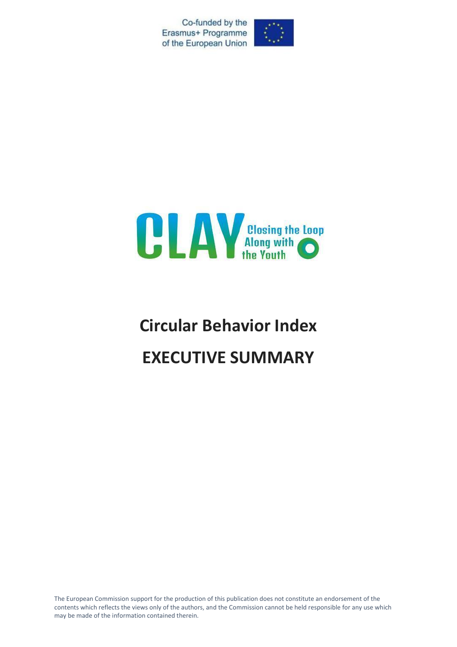Co-funded by the Erasmus+ Programme of the European Union





# **Circular Behavior Index EXECUTIVE SUMMARY**

The European Commission support for the production of this publication does not constitute an endorsement of the contents which reflects the views only of the authors, and the Commission cannot be held responsible for any use which may be made of the information contained therein.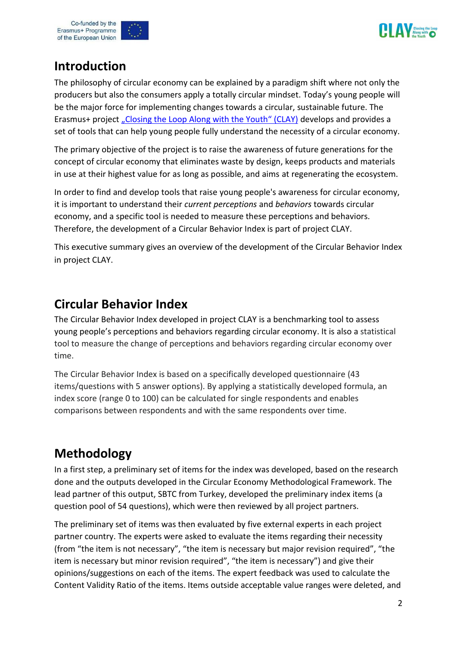



### **Introduction**

The philosophy of circular economy can be explained by a paradigm shift where not only the producers but also the consumers apply a totally circular mindset. Today's young people will be the major force for implementing changes towards a circular, sustainable future. The Erasmus+ project ["Closing the Loop Along with the Youth" \(CLAY\)](https://www.clay-project.eu/) develops and provides a set of tools that can help young people fully understand the necessity of a circular economy.

The primary objective of the project is to raise the awareness of future generations for the concept of circular economy that eliminates waste by design, keeps products and materials in use at their highest value for as long as possible, and aims at regenerating the ecosystem.

In order to find and develop tools that raise young people's awareness for circular economy, it is important to understand their *current perceptions* and *behaviors* towards circular economy, and a specific tool is needed to measure these perceptions and behaviors. Therefore, the development of a Circular Behavior Index is part of project CLAY.

This executive summary gives an overview of the development of the Circular Behavior Index in project CLAY.

#### **Circular Behavior Index**

The Circular Behavior Index developed in project CLAY is a benchmarking tool to assess young people's perceptions and behaviors regarding circular economy. It is also a statistical tool to measure the change of perceptions and behaviors regarding circular economy over time.

The Circular Behavior Index is based on a specifically developed questionnaire (43 items/questions with 5 answer options). By applying a statistically developed formula, an index score (range 0 to 100) can be calculated for single respondents and enables comparisons between respondents and with the same respondents over time.

## **Methodology**

In a first step, a preliminary set of items for the index was developed, based on the research done and the outputs developed in the Circular Economy Methodological Framework. The lead partner of this output, SBTC from Turkey, developed the preliminary index items (a question pool of 54 questions), which were then reviewed by all project partners.

The preliminary set of items was then evaluated by five external experts in each project partner country. The experts were asked to evaluate the items regarding their necessity (from "the item is not necessary", "the item is necessary but major revision required", "the item is necessary but minor revision required", "the item is necessary") and give their opinions/suggestions on each of the items. The expert feedback was used to calculate the Content Validity Ratio of the items. Items outside acceptable value ranges were deleted, and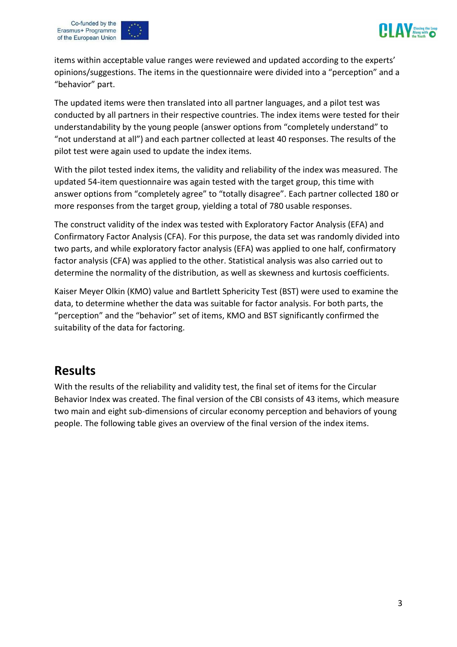





items within acceptable value ranges were reviewed and updated according to the experts' opinions/suggestions. The items in the questionnaire were divided into a "perception" and a "behavior" part.

The updated items were then translated into all partner languages, and a pilot test was conducted by all partners in their respective countries. The index items were tested for their understandability by the young people (answer options from "completely understand" to "not understand at all") and each partner collected at least 40 responses. The results of the pilot test were again used to update the index items.

With the pilot tested index items, the validity and reliability of the index was measured. The updated 54-item questionnaire was again tested with the target group, this time with answer options from "completely agree" to "totally disagree". Each partner collected 180 or more responses from the target group, yielding a total of 780 usable responses.

The construct validity of the index was tested with Exploratory Factor Analysis (EFA) and Confirmatory Factor Analysis (CFA). For this purpose, the data set was randomly divided into two parts, and while exploratory factor analysis (EFA) was applied to one half, confirmatory factor analysis (CFA) was applied to the other. Statistical analysis was also carried out to determine the normality of the distribution, as well as skewness and kurtosis coefficients.

Kaiser Meyer Olkin (KMO) value and Bartlett Sphericity Test (BST) were used to examine the data, to determine whether the data was suitable for factor analysis. For both parts, the "perception" and the "behavior" set of items, KMO and BST significantly confirmed the suitability of the data for factoring.

#### **Results**

With the results of the reliability and validity test, the final set of items for the Circular Behavior Index was created. The final version of the CBI consists of 43 items, which measure two main and eight sub-dimensions of circular economy perception and behaviors of young people. The following table gives an overview of the final version of the index items.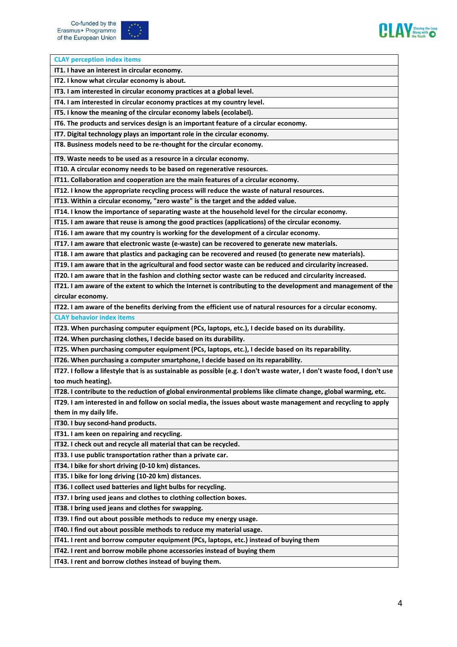



| <b>CLAY perception index items</b>                                                                                       |
|--------------------------------------------------------------------------------------------------------------------------|
| IT1. I have an interest in circular economy.                                                                             |
| IT2. I know what circular economy is about.                                                                              |
| IT3. I am interested in circular economy practices at a global level.                                                    |
| IT4. I am interested in circular economy practices at my country level.                                                  |
| IT5. I know the meaning of the circular economy labels (ecolabel).                                                       |
| IT6. The products and services design is an important feature of a circular economy.                                     |
| IT7. Digital technology plays an important role in the circular economy.                                                 |
| IT8. Business models need to be re-thought for the circular economy.                                                     |
| IT9. Waste needs to be used as a resource in a circular economy.                                                         |
| IT10. A circular economy needs to be based on regenerative resources.                                                    |
| IT11. Collaboration and cooperation are the main features of a circular economy.                                         |
| IT12. I know the appropriate recycling process will reduce the waste of natural resources.                               |
| IT13. Within a circular economy, "zero waste" is the target and the added value.                                         |
| IT14. I know the importance of separating waste at the household level for the circular economy.                         |
| IT15. I am aware that reuse is among the good practices (applications) of the circular economy.                          |
| IT16. I am aware that my country is working for the development of a circular economy.                                   |
| IT17. I am aware that electronic waste (e-waste) can be recovered to generate new materials.                             |
| IT18. I am aware that plastics and packaging can be recovered and reused (to generate new materials).                    |
| IT19. I am aware that in the agricultural and food sector waste can be reduced and circularity increased.                |
| IT20. I am aware that in the fashion and clothing sector waste can be reduced and circularity increased.                 |
| IT21. I am aware of the extent to which the Internet is contributing to the development and management of the            |
| circular economy.                                                                                                        |
| IT22. I am aware of the benefits deriving from the efficient use of natural resources for a circular economy.            |
| <b>CLAY behavior index items</b>                                                                                         |
| IT23. When purchasing computer equipment (PCs, laptops, etc.), I decide based on its durability.                         |
| IT24. When purchasing clothes, I decide based on its durability.                                                         |
| IT25. When purchasing computer equipment (PCs, laptops, etc.), I decide based on its reparability.                       |
| IT26. When purchasing a computer smartphone, I decide based on its reparability.                                         |
| IT27. I follow a lifestyle that is as sustainable as possible (e.g. I don't waste water, I don't waste food, I don't use |
| too much heating).                                                                                                       |
| IT28. I contribute to the reduction of global environmental problems like climate change, global warming, etc.           |
| IT29. I am interested in and follow on social media, the issues about waste management and recycling to apply            |
| them in my daily life.                                                                                                   |
| IT30. I buy second-hand products.                                                                                        |
| IT31. I am keen on repairing and recycling.                                                                              |
| IT32. I check out and recycle all material that can be recycled.                                                         |
| IT33. I use public transportation rather than a private car.                                                             |
| IT34. I bike for short driving (0-10 km) distances.                                                                      |
| IT35. I bike for long driving (10-20 km) distances.                                                                      |
| IT36. I collect used batteries and light bulbs for recycling.                                                            |
| IT37. I bring used jeans and clothes to clothing collection boxes.                                                       |
| IT38. I bring used jeans and clothes for swapping.                                                                       |
| IT39. I find out about possible methods to reduce my energy usage.                                                       |
| IT40. I find out about possible methods to reduce my material usage.                                                     |
| IT41. I rent and borrow computer equipment (PCs, laptops, etc.) instead of buying them                                   |
| IT42. I rent and borrow mobile phone accessories instead of buying them                                                  |
| IT43. I rent and borrow clothes instead of buying them.                                                                  |
|                                                                                                                          |